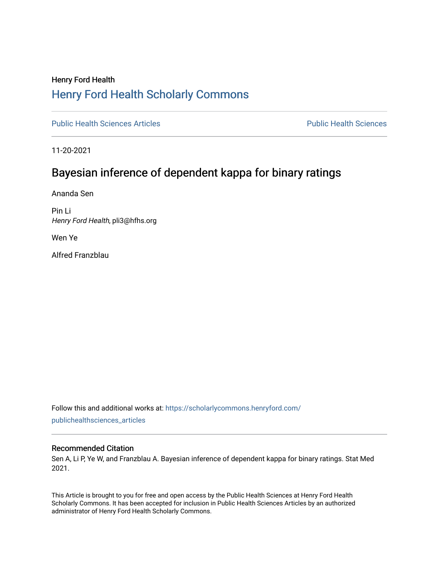## Henry Ford Health [Henry Ford Health Scholarly Commons](https://scholarlycommons.henryford.com/)

[Public Health Sciences Articles](https://scholarlycommons.henryford.com/publichealthsciences_articles) [Public Health Sciences](https://scholarlycommons.henryford.com/publichealthsciences) 

11-20-2021

## Bayesian inference of dependent kappa for binary ratings

Ananda Sen

Pin Li Henry Ford Health, pli3@hfhs.org

Wen Ye

Alfred Franzblau

Follow this and additional works at: [https://scholarlycommons.henryford.com/](https://scholarlycommons.henryford.com/publichealthsciences_articles?utm_source=scholarlycommons.henryford.com%2Fpublichealthsciences_articles%2F281&utm_medium=PDF&utm_campaign=PDFCoverPages) [publichealthsciences\\_articles](https://scholarlycommons.henryford.com/publichealthsciences_articles?utm_source=scholarlycommons.henryford.com%2Fpublichealthsciences_articles%2F281&utm_medium=PDF&utm_campaign=PDFCoverPages) 

#### Recommended Citation

Sen A, Li P, Ye W, and Franzblau A. Bayesian inference of dependent kappa for binary ratings. Stat Med 2021.

This Article is brought to you for free and open access by the Public Health Sciences at Henry Ford Health Scholarly Commons. It has been accepted for inclusion in Public Health Sciences Articles by an authorized administrator of Henry Ford Health Scholarly Commons.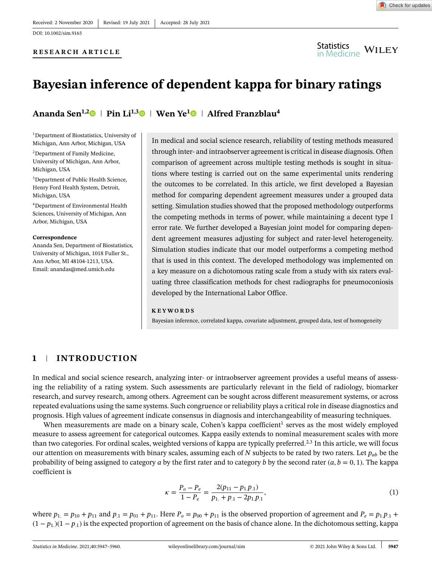#### **RESEARCH ARTICLE**



# **Bayesian inference of dependent kappa for binary ratings**

**Ananda Sen1,[2](https://orcid.org/0000-0002-9632-6704) Pin Li1,[3](https://orcid.org/0000-0003-4508-3762) Wen Ye[1](https://orcid.org/0000-0001-5802-189X) Alfred Franzblau<sup>4</sup>**

1Department of Biostatistics, University of Michigan, Ann Arbor, Michigan, USA 2Department of Family Medicine, University of Michigan, Ann Arbor, Michigan, USA

3Department of Public Health Science, Henry Ford Health System, Detroit, Michigan, USA

4Department of Environmental Health Sciences, University of Michigan, Ann Arbor, Michigan, USA

#### **Correspondence**

Ananda Sen, Department of Biostatistics, University of Michigan, 1018 Fuller St., Ann Arbor, MI 48104-1213, USA. Email: anandas@med.umich.edu

In medical and social science research, reliability of testing methods measured through inter- and intraobserver agreement is critical in disease diagnosis. Often comparison of agreement across multiple testing methods is sought in situations where testing is carried out on the same experimental units rendering the outcomes to be correlated. In this article, we first developed a Bayesian method for comparing dependent agreement measures under a grouped data setting. Simulation studies showed that the proposed methodology outperforms the competing methods in terms of power, while maintaining a decent type I error rate. We further developed a Bayesian joint model for comparing dependent agreement measures adjusting for subject and rater-level heterogeneity. Simulation studies indicate that our model outperforms a competing method that is used in this context. The developed methodology was implemented on a key measure on a dichotomous rating scale from a study with six raters evaluating three classification methods for chest radiographs for pneumoconiosis developed by the International Labor Office.

#### **KEYWORDS**

Bayesian inference, correlated kappa, covariate adjustment, grouped data, test of homogeneity

## **1 INTRODUCTION**

In medical and social science research, analyzing inter- or intraobserver agreement provides a useful means of assessing the reliability of a rating system. Such assessments are particularly relevant in the field of radiology, biomarker research, and survey research, among others. Agreement can be sought across different measurement systems, or across repeated evaluations using the same systems. Such congruence or reliability plays a critical role in disease diagnostics and prognosis. High values of agreement indicate consensus in diagnosis and interchangeability of measuring techniques.

When measurements are made on a binary scale, Cohen's kappa coefficient<sup>1</sup> serves as the most widely employed measure to assess agreement for categorical outcomes. Kappa easily extends to nominal measurement scales with more than two categories. For ordinal scales, weighted versions of kappa are typically preferred.<sup>2,3</sup> In this article, we will focus our attention on measurements with binary scales, assuming each of *N* subjects to be rated by two raters. Let *pab* be the probability of being assigned to category *a* by the first rater and to category *b* by the second rater  $(a, b = 0, 1)$ . The kappa coefficient is

$$
\kappa = \frac{P_o - P_e}{1 - P_e} = \frac{2(p_{11} - p_{1.}p_{1.})}{p_{1.} + p_{.1} - 2p_{1.}p_{.1}},\tag{1}
$$

where  $p_1 = p_{10} + p_{11}$  and  $p_1 = p_{01} + p_{11}$ . Here  $P_0 = p_{00} + p_{11}$  is the observed proportion of agreement and  $P_e = p_1 p_1 + p_2$  $(1 - p_1)(1 - p_1)$  is the expected proportion of agreement on the basis of chance alone. In the dichotomous setting, kappa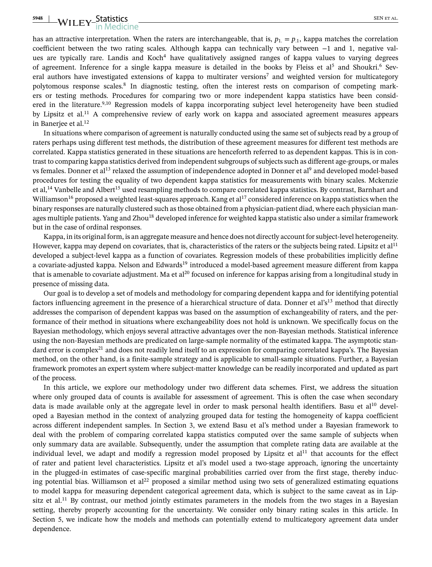# **5948** WILEY-Statistics SEN ET AL. SEN ET AL.

has an attractive interpretation. When the raters are interchangeable, that is,  $p_1 = p_1$ , kappa matches the correlation coefficient between the two rating scales. Although kappa can technically vary between −1 and 1, negative values are typically rare. Landis and Koch<sup>4</sup> have qualitatively assigned ranges of kappa values to varying degrees of agreement. Inference for a single kappa measure is detailed in the books by Fleiss et al<sup>5</sup> and Shoukri.<sup>6</sup> Several authors have investigated extensions of kappa to multirater versions<sup>7</sup> and weighted version for multicategory polytomous response scales.<sup>8</sup> In diagnostic testing, often the interest rests on comparison of competing markers or testing methods. Procedures for comparing two or more independent kappa statistics have been considered in the literature.<sup>9,10</sup> Regression models of kappa incorporating subject level heterogeneity have been studied by Lipsitz et al.<sup>11</sup> A comprehensive review of early work on kappa and associated agreement measures appears in Banerjee et al.<sup>12</sup>

In situations where comparison of agreement is naturally conducted using the same set of subjects read by a group of raters perhaps using different test methods, the distribution of these agreement measures for different test methods are correlated. Kappa statistics generated in these situations are henceforth referred to as dependent kappas. This is in contrast to comparing kappa statistics derived from independent subgroups of subjects such as different age-groups, or males vs females. Donner et al<sup>13</sup> relaxed the assumption of independence adopted in Donner et al<sup>9</sup> and developed model-based procedures for testing the equality of two dependent kappa statistics for measurements with binary scales. Mckenzie et al,14 Vanbelle and Albert<sup>15</sup> used resampling methods to compare correlated kappa statistics. By contrast, Barnhart and Williamson<sup>16</sup> proposed a weighted least-squares approach. Kang et al<sup>17</sup> considered inference on kappa statistics when the binary responses are naturally clustered such as those obtained from a physician-patient diad, where each physician manages multiple patients. Yang and Zhou<sup>18</sup> developed inference for weighted kappa statistic also under a similar framework but in the case of ordinal responses.

Kappa, in its original form, is an aggregate measure and hence does not directly account for subject-level heterogeneity. However, kappa may depend on covariates, that is, characteristics of the raters or the subjects being rated. Lipsitz et al<sup>11</sup> developed a subject-level kappa as a function of covariates. Regression models of these probabilities implicitly define a covariate-adjusted kappa. Nelson and Edwards<sup>19</sup> introduced a model-based agreement measure different from kappa that is amenable to covariate adjustment. Ma et al<sup>20</sup> focused on inference for kappas arising from a longitudinal study in presence of missing data.

Our goal is to develop a set of models and methodology for comparing dependent kappa and for identifying potential factors influencing agreement in the presence of a hierarchical structure of data. Donner et al's<sup>13</sup> method that directly addresses the comparison of dependent kappas was based on the assumption of exchangeability of raters, and the performance of their method in situations where exchangeability does not hold is unknown. We specifically focus on the Bayesian methodology, which enjoys several attractive advantages over the non-Bayesian methods. Statistical inference using the non-Bayesian methods are predicated on large-sample normality of the estimated kappa. The asymptotic standard error is complex<sup>21</sup> and does not readily lend itself to an expression for comparing correlated kappa's. The Bayesian method, on the other hand, is a finite-sample strategy and is applicable to small-sample situations. Further, a Bayesian framework promotes an expert system where subject-matter knowledge can be readily incorporated and updated as part of the process.

In this article, we explore our methodology under two different data schemes. First, we address the situation where only grouped data of counts is available for assessment of agreement. This is often the case when secondary data is made available only at the aggregate level in order to mask personal health identifiers. Basu et al<sup>10</sup> developed a Bayesian method in the context of analyzing grouped data for testing the homogeneity of kappa coefficient across different independent samples. In Section 3, we extend Basu et al's method under a Bayesian framework to deal with the problem of comparing correlated kappa statistics computed over the same sample of subjects when only summary data are available. Subsequently, under the assumption that complete rating data are available at the individual level, we adapt and modify a regression model proposed by Lipsitz et  $al<sup>11</sup>$  that accounts for the effect of rater and patient level characteristics. Lipsitz et al's model used a two-stage approach, ignoring the uncertainty in the plugged-in estimates of case-specific marginal probabilities carried over from the first stage, thereby inducing potential bias. Williamson et al<sup>22</sup> proposed a similar method using two sets of generalized estimating equations to model kappa for measuring dependent categorical agreement data, which is subject to the same caveat as in Lipsitz et al.<sup>11</sup> By contrast, our method jointly estimates parameters in the models from the two stages in a Bayesian setting, thereby properly accounting for the uncertainty. We consider only binary rating scales in this article. In Section 5, we indicate how the models and methods can potentially extend to multicategory agreement data under dependence.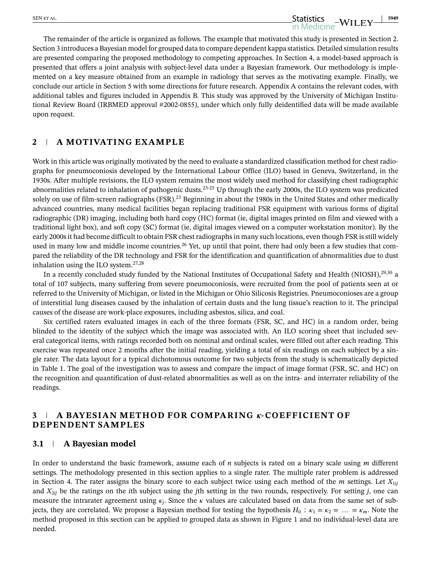The remainder of the article is organized as follows. The example that motivated this study is presented in Section 2. Section 3 introduces a Bayesian model for grouped data to compare dependent kappa statistics. Detailed simulation results are presented comparing the proposed methodology to competing approaches. In Section 4, a model-based approach is presented that offers a joint analysis with subject-level data under a Bayesian framework. Our methodology is implemented on a key measure obtained from an example in radiology that serves as the motivating example. Finally, we conclude our article in Section 5 with some directions for future research. Appendix A contains the relevant codes, with additional tables and figures included in Appendix B. This study was approved by the University of Michigan Institutional Review Board (IRBMED approval #2002-0855), under which only fully deidentified data will be made available upon request.

## **2 A MOTIVATING EXAMPLE**

Work in this article was originally motivated by the need to evaluate a standardized classification method for chest radiographs for pneumoconiosis developed by the International Labour Office (ILO) based in Geneva, Switzerland, in the 1930s. After multiple revisions, the ILO system remains the most widely used method for classifying chest radiographic abnormalities related to inhalation of pathogenic dusts.<sup>23-25</sup> Up through the early 2000s, the ILO system was predicated solely on use of film-screen radiographs (FSR).<sup>23</sup> Beginning in about the 1980s in the United States and other medically advanced countries, many medical facilities began replacing traditional FSR equipment with various forms of digital radiographic (DR) imaging, including both hard copy (HC) format (ie, digital images printed on film and viewed with a traditional light box), and soft copy (SC) format (ie, digital images viewed on a computer workstation monitor). By the early 2000s it had become difficult to obtain FSR chest radiographs in many such locations, even though FSR is still widely used in many low and middle income countries.<sup>26</sup> Yet, up until that point, there had only been a few studies that compared the reliability of the DR technology and FSR for the identification and quantification of abnormalities due to dust inhalation using the ILO system. $27,28$ 

In a recently concluded study funded by the National Institutes of Occupational Safety and Health (NIOSH),<sup>29,30</sup> a total of 107 subjects, many suffering from severe pneumoconiosis, were recruited from the pool of patients seen at or referred to the University of Michigan, or listed in the Michigan or Ohio Silicosis Registries. Pneumoconioses are a group of interstitial lung diseases caused by the inhalation of certain dusts and the lung tissue's reaction to it. The principal causes of the disease are work-place exposures, including asbestos, silica, and coal.

Six certified raters evaluated images in each of the three formats (FSR, SC, and HC) in a random order, being blinded to the identity of the subject which the image was associated with. An ILO scoring sheet that included several categorical items, with ratings recorded both on nominal and ordinal scales, were filled out after each reading. This exercise was repeated once 2 months after the initial reading, yielding a total of six readings on each subject by a single rater. The data layout for a typical dichotomous outcome for two subjects from the study is schematically depicted in Table 1. The goal of the investigation was to assess and compare the impact of image format (FSR, SC, and HC) on the recognition and quantification of dust-related abnormalities as well as on the intra- and interrater reliability of the readings.

#### **2 A BAYESIAN METHOD FOR COMPARING** *k*-COEFFICIENT OF **DEPENDENT SAMPLES**

#### **3.1 A Bayesian model**

In order to understand the basic framework, assume each of *n* subjects is rated on a binary scale using *m* different settings. The methodology presented in this section applies to a single rater. The multiple rater problem is addressed in Section 4. The rater assigns the binary score to each subject twice using each method of the  $m$  settings. Let  $X_{1ij}$ and *X*2*ij* be the ratings on the *i*th subject using the *j*th setting in the two rounds, respectively. For setting *j*, one can measure the intrarater agreement using  $\kappa_i$ . Since the  $\kappa$  values are calculated based on data from the same set of subjects, they are correlated. We propose a Bayesian method for testing the hypothesis  $H_0: \kappa_1 = \kappa_2 = \ldots = \kappa_m$ . Note the method proposed in this section can be applied to grouped data as shown in Figure 1 and no individual-level data are needed.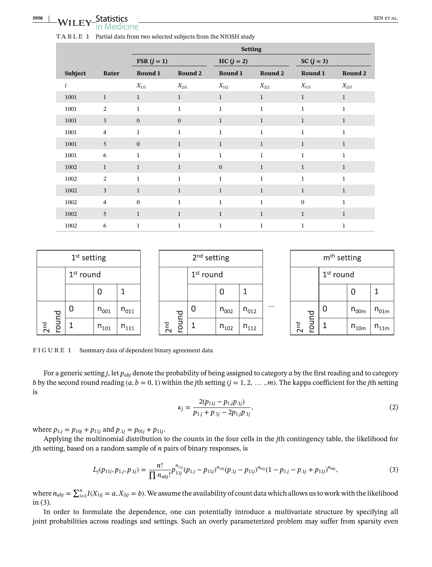|         |                | <b>Setting</b> |              |              |              |              |              |  |
|---------|----------------|----------------|--------------|--------------|--------------|--------------|--------------|--|
|         |                | $FSR (j = 1)$  |              | $HC(j = 2)$  |              | SC $(j = 3)$ |              |  |
| Subject | Rater          | Round 1        | Round 2      | Round 1      | Round 2      | Round 1      | Round 2      |  |
| i       |                | $X_{1i1}$      | $X_{2i1}$    | $X_{1i2}$    | $X_{2i2}$    | $X_{1i3}$    | $X_{2i3}$    |  |
| 1001    | $\mathbf{1}$   | $\mathbf{1}$   | $\mathbf{1}$ | $\mathbf{1}$ | $\mathbf{1}$ | $\mathbf{1}$ | $\mathbf{1}$ |  |
| 1001    | 2              | $\mathbf{1}$   | $\mathbf{1}$ | $\mathbf{1}$ | $\mathbf{1}$ | $\mathbf{1}$ | $\mathbf{1}$ |  |
| 1001    | $\mathbf{3}$   | $\mathbf{0}$   | $\mathbf{0}$ | $\mathbf{1}$ | $\mathbf{1}$ | $1\,$        | $\mathbf{1}$ |  |
| 1001    | $\overline{4}$ | $\mathbf{1}$   | $\mathbf{1}$ | $\mathbf{1}$ | $\mathbf{1}$ | $\mathbf{1}$ | $\mathbf{1}$ |  |
| 1001    | 5              | $\mathbf{0}$   | $\mathbf{1}$ | $\mathbf{1}$ | $\mathbf{1}$ | $\mathbf{1}$ | $\mathbf{1}$ |  |
| 1001    | 6              | $\mathbf{1}$   | $\mathbf{1}$ | $\mathbf{1}$ | $\mathbf{1}$ | $\mathbf{1}$ | $\mathbf{1}$ |  |
| 1002    | $\mathbf{1}$   | $\mathbf{1}$   | $\mathbf{1}$ | $\mathbf{0}$ | $\mathbf{1}$ | $\mathbf{1}$ | $\mathbf{1}$ |  |
| 1002    | 2              | $\mathbf{1}$   | $\mathbf{1}$ | $\mathbf{1}$ | $\mathbf{1}$ | $\mathbf{1}$ | $\mathbf{1}$ |  |
| 1002    | $\overline{3}$ | $\mathbf{1}$   | $\mathbf{1}$ | $\mathbf{1}$ | $\mathbf{1}$ | $\mathbf{1}$ | $\mathbf{1}$ |  |
| 1002    | $\overline{4}$ | $\mathbf{0}$   | $\mathbf{1}$ | $\mathbf{1}$ | $\mathbf{1}$ | $\mathbf{0}$ | $\mathbf{1}$ |  |
| 1002    | 5              | $\mathbf{1}$   | $\mathbf{1}$ | $\mathbf{1}$ | $\mathbf{1}$ | $\mathbf{1}$ | $\mathbf{1}$ |  |
| 1002    | 6              | $\mathbf{1}$   | $\mathbf{1}$ | $\mathbf{1}$ | $\mathbf{1}$ | $\mathbf{1}$ | $\mathbf{1}$ |  |

|                 | 2 <sup>nd</sup> setting<br>$1st$ setting |             |           |                       |  |              |             | m <sup>th</sup> setting |           |                           |  |           |           |
|-----------------|------------------------------------------|-------------|-----------|-----------------------|--|--------------|-------------|-------------------------|-----------|---------------------------|--|-----------|-----------|
|                 |                                          | $1st$ round |           | $1^\mathrm{st}$ round |  |              | $1st$ round |                         |           |                           |  |           |           |
|                 |                                          |             |           |                       |  |              |             |                         |           |                           |  | U         |           |
|                 | $\sum_{i=1}^{n}$                         |             | $n_{001}$ | $n_{011}$             |  |              | ᅙ           | $n_{002}$               | $n_{012}$ | <br>ᅙ                     |  | $n_{00m}$ | $n_{01m}$ |
| 2 <sup>nd</sup> | Þ<br>$\circ$                             |             | $n_{101}$ | $n_{111}$             |  | PO<br>$\sim$ | roun        | $n_{102}$               | $n_{112}$ | 2 <sup>nd</sup><br>-<br>O |  | $n_{10m}$ | $n_{11m}$ |

**FIGURE 1** Summary data of dependent binary agreement data

For a generic setting *j*, let *pabj* denote the probability of being assigned to category *a* by the first reading and to category *b* by the second round reading  $(a, b = 0, 1)$  within the *j*th setting  $(j = 1, 2, \ldots, m)$ . The kappa coefficient for the *j*th setting is

$$
\kappa_j = \frac{2(p_{11j} - p_{1j}p_{.1j})}{p_{1j} + p_{.1j} - 2p_{1j}p_{.1j}},\tag{2}
$$

where  $p_{1,i} = p_{10j} + p_{11j}$  and  $p_{.1j} = p_{01j} + p_{11j}$ .

Applying the multinomial distribution to the counts in the four cells in the *j*th contingency table, the likelihood for *j*th setting, based on a random sample of *n* pairs of binary responses, is

$$
L_j(p_{11j}, p_{1,j}, p_{.1j}) = \frac{n!}{\prod n_{abj}!} p_{11j}^{n_{11j}} (p_{1,j} - p_{11j})^{n_{10j}} (p_{.1j} - p_{11j})^{n_{01j}} (1 - p_{1,j} - p_{.1j} + p_{11j})^{n_{00j}},
$$
\n(3)

where  $n_{abj} = \sum_{i=1}^{n} I(X_{1ij} = a, X_{2ij} = b)$ . We assume the availability of count data which allows us to work with the likelihood in (3).

In order to formulate the dependence, one can potentially introduce a multivariate structure by specifying all joint probabilities across readings and settings. Such an overly parameterized problem may suffer from sparsity even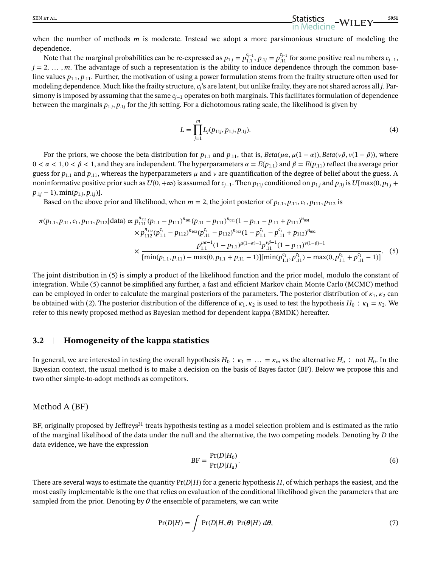when the number of methods *m* is moderate. Instead we adopt a more parsimonious structure of modeling the dependence.

Note that the marginal probabilities can be re-expressed as  $p_{1,j} = p_{1,1}^{c_{j-1}}, p_{1,j} = p_{1,1}^{c_{j-1}}$  for some positive real numbers  $c_{j-1}$ ,  $j = 2, \ldots, m$ . The advantage of such a representation is the ability to induce dependence through the common baseline values  $p_{1,1}, p_{1,1}$ . Further, the motivation of using a power formulation stems from the frailty structure often used for modeling dependence. Much like the frailty structure, *cj*'s are latent, but unlike frailty, they are not shared across all *j*. Parsimony is imposed by assuming that the same *cj*<sup>−</sup><sup>1</sup> operates on both marginals. This facilitates formulation of dependence between the marginals *p*1*.j, p.*1*<sup>j</sup>* for the *j*th setting. For a dichotomous rating scale, the likelihood is given by

$$
L = \prod_{j=1}^{m} L_j(p_{11j}, p_{1,j}, p_{.1j}).
$$
\n(4)

For the priors, we choose the beta distribution for  $p_{1,1}$  and  $p_{1,1}$ , that is,  $Beta(\mu \alpha, \mu(1 - \alpha))$ ,  $Beta(\nu \beta, \nu(1 - \beta))$ , where  $0 < \alpha < 1, 0 < \beta < 1$ , and they are independent. The hyperparameters  $\alpha = E(p_{1,1})$  and  $\beta = E(p_{.11})$  reflect the average prior guess for  $p_{1,1}$  and  $p_{.11}$ , whereas the hyperparameters  $\mu$  and  $\nu$  are quantification of the degree of belief about the guess. A noninformative positive prior such as  $U(0, +\infty)$  is assumed for  $c_{i-1}$ . Then  $p_{11i}$  conditioned on  $p_{1i}$  and  $p_{1i}$  is  $U$ [max(0,  $p_{1i}$  +  $p_{.1i} - 1$ )*,* min $(p_{1,i}, p_{.1i})$ ].

Based on the above prior and likelihood, when  $m = 2$ , the joint posterior of  $p_{1,1}, p_{1,1}, c_1, p_{111}, p_{112}$  is

$$
\pi(p_{1.1}, p_{.11}, c_1, p_{111}, p_{112} | \text{data}) \propto p_{111}^{n_{111}}(p_{1.1} - p_{111})^{n_{101}}(p_{.11} - p_{111})^{n_{011}}(1 - p_{1.1} - p_{.11} + p_{111})^{n_{001}} \times p_{112}^{n_{112}}(p_{1.1}^{c_1} - p_{112})^{n_{102}}(p_{.11}^{c_1} - p_{112})^{n_{012}}(1 - p_{1.1}^{c_1} - p_{.11}^{c_1} + p_{112})^{n_{002}} \times \frac{p_{111}^{n_{111}}(1 - p_{1.1})^{n_{112}}(1 - p_{.11})^{n_{112}}(1 - p_{.11})^{n_{111}}(1 - p_{.11})^{n_{112}}}{[\min(p_{1.1}, p_{.11}) - \max(0, p_{1.1} + p_{.11} - 1)][\min(p_{1.1}^{c_1}, p_{.11}^{c_1}) - \max(0, p_{1.1}^{c_1} + p_{.11}^{c_1} - 1)]}.
$$
\n(5)

The joint distribution in (5) is simply a product of the likelihood function and the prior model, modulo the constant of integration. While (5) cannot be simplified any further, a fast and efficient Markov chain Monte Carlo (MCMC) method can be employed in order to calculate the marginal posteriors of the parameters. The posterior distribution of  $\kappa_1$ ,  $\kappa_2$  can be obtained with (2). The posterior distribution of the difference of  $\kappa_1, \kappa_2$  is used to test the hypothesis  $H_0: \kappa_1 = \kappa_2$ . We refer to this newly proposed method as Bayesian method for dependent kappa (BMDK) hereafter.

#### **3.2 Homogeneity of the kappa statistics**

In general, we are interested in testing the overall hypothesis  $H_0$ :  $\kappa_1 = ... = \kappa_m$  vs the alternative  $H_a$ : not  $H_0$ . In the Bayesian context, the usual method is to make a decision on the basis of Bayes factor (BF). Below we propose this and two other simple-to-adopt methods as competitors.

#### Method A (BF)

BF, originally proposed by Jeffreys<sup>31</sup> treats hypothesis testing as a model selection problem and is estimated as the ratio of the marginal likelihood of the data under the null and the alternative, the two competing models. Denoting by *D* the data evidence, we have the expression

$$
BF = \frac{\Pr(D|H_0)}{\Pr(D|H_a)}.\tag{6}
$$

There are several ways to estimate the quantity  $Pr(D|H)$  for a generic hypothesis *H*, of which perhaps the easiest, and the most easily implementable is the one that relies on evaluation of the conditional likelihood given the parameters that are sampled from the prior. Denoting by  $\theta$  the ensemble of parameters, we can write

$$
Pr(D|H) = \int Pr(D|H, \theta) Pr(\theta|H) d\theta,
$$
\n(7)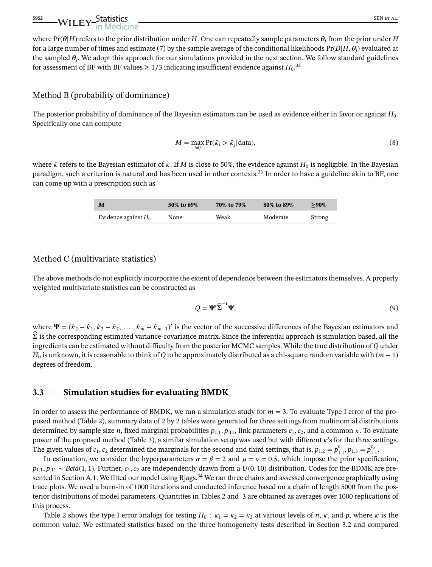# **5952 WILEY-Statistics** SEN ET AL. **SEN ET AL.**

where  $Pr(\theta|H)$  refers to the prior distribution under *H*. One can repeatedly sample parameters  $\theta_i$  from the prior under *H* for a large number of times and estimate (7) by the sample average of the conditional likelihoods  $Pr(D|H, \theta_i)$  evaluated at the sampled  $\theta_i$ . We adopt this approach for our simulations provided in the next section. We follow standard guidelines for assessment of BF with BF values  $\geq 1/3$  indicating insufficient evidence against  $H_0$ .<sup>32</sup>

#### Method B (probability of dominance)

The posterior probability of dominance of the Bayesian estimators can be used as evidence either in favor or against *H*0. Specifically one can compute

$$
M = \max_{i \neq j} \Pr(\hat{k}_i > \hat{k}_j | \text{data}),\tag{8}
$$

where  $\hat{\kappa}$  refers to the Bayesian estimator of  $\kappa$ . If *M* is close to 50%, the evidence against  $H_0$  is negligible. In the Bayesian paradigm, such a criterion is natural and has been used in other contexts.33 In order to have a guideline akin to BF, one can come up with a prescription such as

| M                      | 50% to 69% | 70% to 79% | 80% to 89% | $>90\%$ |
|------------------------|------------|------------|------------|---------|
| Evidence against $H_0$ | None       | Weak       | Moderate   | Strong  |

#### Method C (multivariate statistics)

The above methods do not explicitly incorporate the extent of dependence between the estimators themselves. A properly weighted multivariate statistics can be constructed as

$$
Q = \Psi' \hat{\Sigma}^{-1} \Psi,
$$
\n(9)

where  $\Psi = (\hat{\kappa}_2 - \hat{\kappa}_1, \hat{\kappa}_3 - \hat{\kappa}_2, \dots, \hat{\kappa}_m - \hat{\kappa}_{m-1})'$  is the vector of the successive differences of the Bayesian estimators and  $\hat{\Sigma}$  is the corresponding estimated variance-covariance matrix. Since the inferential approach is simulation based, all the ingredients can be estimated without difficulty from the posterior MCMC samples. While the true distribution of *Q* under *H*<sub>0</sub> is unknown, it is reasonable to think of *Q* to be approximately distributed as a chi-square random variable with (*m* − 1) degrees of freedom.

#### **3.3 Simulation studies for evaluating BMDK**

In order to assess the performance of BMDK, we ran a simulation study for *m* = 3. To evaluate Type I error of the proposed method (Table 2), summary data of 2 by 2 tables were generated for three settings from multinomial distributions determined by sample size *n*, fixed marginal probabilities  $p_{1,1}, p_{11}$ , link parameters  $c_1, c_2$ , and a common  $\kappa$ . To evaluate power of the proposed method (Table 3), a similar simulation setup was used but with different  $\kappa$ 's for the three settings. The given values of  $c_1$ ,  $c_2$  determined the marginals for the second and third settings, that is,  $p_{1.2} = p_{1.1}^{c_1}$ ,  $p_{1.3} = p_{1.1}^{c_2}$ .

In estimation, we consider the hyperparameters  $\alpha = \beta = 2$  and  $\mu = \nu = 0.5$ , which impose the prior specification, *p*<sub>1</sub>*, p*<sub>.11</sub> ∼ *Beta*(1*,* 1). Further, *c*<sub>1</sub>*, c*<sub>2</sub> are independently drawn from a *U*(0*,* 10) distribution. Codes for the BDMK are presented in Section A.1. We fitted our model using Rjags.<sup>34</sup> We ran three chains and assessed convergence graphically using trace plots. We used a burn-in of 1000 iterations and conducted inference based on a chain of length 5000 from the posterior distributions of model parameters. Quantities in Tables 2 and 3 are obtained as averages over 1000 replications of this process.

Table 2 shows the type I error analogs for testing  $H_0$ :  $\kappa_1 = \kappa_2 = \kappa_3$  at various levels of *n*,  $\kappa$ , and *p*, where  $\kappa$  is the common value. We estimated statistics based on the three homogeneity tests described in Section 3.2 and compared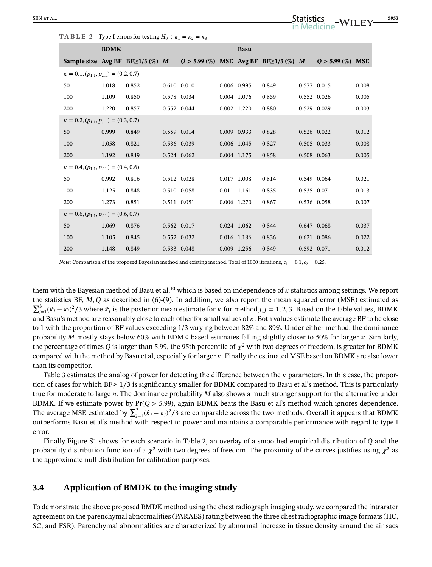**TABLE 2** Type I errors for testing  $H_0$ :  $\kappa_1 = \kappa_2 = \kappa_3$ 

|                                                    | <b>BDMK</b> |                                        |             |                                               |             | <b>Basu</b> |       |             |                 |            |
|----------------------------------------------------|-------------|----------------------------------------|-------------|-----------------------------------------------|-------------|-------------|-------|-------------|-----------------|------------|
|                                                    |             | Sample size Avg BF BF $\geq$ 1/3 (%) M |             | $Q > 5.99$ (%) MSE Avg BF BF $\geq$ 1/3 (%) M |             |             |       |             | $Q > 5.99\ (%)$ | <b>MSE</b> |
| $\kappa = 0.1$ , $(p_{1,1}, p_{1,1}) = (0.2, 0.7)$ |             |                                        |             |                                               |             |             |       |             |                 |            |
| 50                                                 | 1.018       | 0.852                                  | 0.610 0.010 |                                               | 0.006 0.995 |             | 0.849 | 0.577 0.015 |                 | 0.008      |
| 100                                                | 1.109       | 0.850                                  | 0.578 0.034 |                                               | 0.004 1.076 |             | 0.859 | 0.552 0.026 |                 | 0.005      |
| 200                                                | 1.220       | 0.857                                  | 0.552 0.044 |                                               | 0.002 1.220 |             | 0.880 | 0.529 0.029 |                 | 0.003      |
| $\kappa = 0.2, (p_{1,1}, p_{1,1}) = (0.3, 0.7)$    |             |                                        |             |                                               |             |             |       |             |                 |            |
| 50                                                 | 0.999       | 0.849                                  | 0.559 0.014 |                                               | 0.009 0.933 |             | 0.828 | 0.526 0.022 |                 | 0.012      |
| 100                                                | 1.058       | 0.821                                  | 0.536 0.039 |                                               | 0.006 1.045 |             | 0.827 | 0.505 0.033 |                 | 0.008      |
| 200                                                | 1.192       | 0.849                                  | 0.524 0.062 |                                               | 0.004 1.175 |             | 0.858 | 0.508 0.063 |                 | 0.005      |
| $\kappa = 0.4, (p_{1,1}, p_{1,1}) = (0.4, 0.6)$    |             |                                        |             |                                               |             |             |       |             |                 |            |
| 50                                                 | 0.992       | 0.816                                  | 0.512 0.028 |                                               | 0.017 1.008 |             | 0.814 | 0.549 0.064 |                 | 0.021      |
| 100                                                | 1.125       | 0.848                                  | 0.510 0.058 |                                               | 0.011 1.161 |             | 0.835 | 0.535 0.071 |                 | 0.013      |
| 200                                                | 1.273       | 0.851                                  | 0.511 0.051 |                                               | 0.006 1.270 |             | 0.867 | 0.536 0.058 |                 | 0.007      |
| $\kappa = 0.6, (p_{1,1}, p_{1,1}) = (0.6, 0.7)$    |             |                                        |             |                                               |             |             |       |             |                 |            |
| 50                                                 | 1.069       | 0.876                                  | 0.562 0.017 |                                               | 0.024 1.062 |             | 0.844 | 0.647 0.068 |                 | 0.037      |
| 100                                                | 1.105       | 0.845                                  | 0.552 0.032 |                                               | 0.016 1.186 |             | 0.836 | 0.621 0.086 |                 | 0.022      |
| 200                                                | 1.148       | 0.849                                  | 0.533 0.048 |                                               | 0.009 1.256 |             | 0.849 | 0.592 0.071 |                 | 0.012      |

*Note*: Comparison of the proposed Bayesian method and existing method. Total of 1000 iterations,  $c_1 = 0.1$ ,  $c_2 = 0.25$ .

them with the Bayesian method of Basu et al,<sup>10</sup> which is based on independence of  $\kappa$  statistics among settings. We report the statistics BF, *M, Q* as described in (6)-(9). In addition, we also report the mean squared error (MSE) estimated as  $\sum_{j=1}^{3} (\hat{k}_j - \kappa_j)^2/3$  where  $\hat{k}_j$  is the posterior mean estimate for  $\kappa$  for method  $j, j = 1, 2, 3$ . Based on the table values, BDMK and Basu's method are reasonably close to each other for small values of  $\kappa$ . Both values estimate the average BF to be close to 1 with the proportion of BF values exceeding 1/3 varying between 82% and 89%. Under either method, the dominance probability *M* mostly stays below 60% with BDMK based estimates falling slightly closer to 50% for larger  $\kappa$ . Similarly, the percentage of times *Q* is larger than 5.99, the 95th percentile of  $\chi^2$  with two degrees of freedom, is greater for BDMK compared with the method by Basu et al, especially for larger  $\kappa$ . Finally the estimated MSE based on BDMK are also lower than its competitor.

Table 3 estimates the analog of power for detecting the difference between the  $\kappa$  parameters. In this case, the proportion of cases for which BF≥ 1∕3 is significantly smaller for BDMK compared to Basu et al's method. This is particularly true for moderate to large *n*. The dominance probability *M* also shows a much stronger support for the alternative under BDMK. If we estimate power by Pr(*Q >* 5*.*99), again BDMK beats the Basu et al's method which ignores dependence. The average MSE estimated by  $\sum_{j=1}^3 (\hat{r}_j - \kappa_j)^2/3$  are comparable across the two methods. Overall it appears that BDMK outperforms Basu et al's method with respect to power and maintains a comparable performance with regard to type I error.

Finally Figure S1 shows for each scenario in Table 2, an overlay of a smoothed empirical distribution of *Q* and the probability distribution function of a  $\chi^2$  with two degrees of freedom. The proximity of the curves justifies using  $\chi^2$  as the approximate null distribution for calibration purposes.

#### **3.4 Application of BMDK to the imaging study**

To demonstrate the above proposed BMDK method using the chest radiograph imaging study, we compared the intrarater agreement on the parenchymal abnormalities (PARABS) rating between the three chest radiographic image formats (HC, SC, and FSR). Parenchymal abnormalities are characterized by abnormal increase in tissue density around the air sacs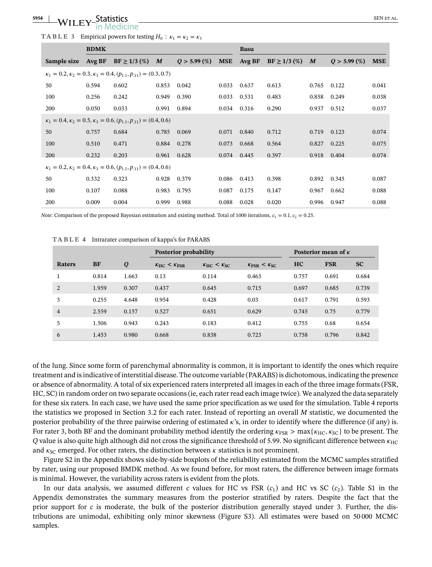#### -WILEY<sup>-Statistics</sup> SEN ET AL. (SEN ET AL. (SEN ET AL. )<br>The Medicine edicine

|  |  |  |  | TABLE 3 Empirical powers for testing $H_0$ : $\kappa_1 = \kappa_2 = \kappa_3$ |  |  |  |  |  |  |  |  |  |
|--|--|--|--|-------------------------------------------------------------------------------|--|--|--|--|--|--|--|--|--|
|--|--|--|--|-------------------------------------------------------------------------------|--|--|--|--|--|--|--|--|--|

|             | <b>BDMK</b> |                                                                                   |       |                  | <b>Basu</b> |        |                  |       |                  |            |
|-------------|-------------|-----------------------------------------------------------------------------------|-------|------------------|-------------|--------|------------------|-------|------------------|------------|
| Sample size | Avg BF      | $BF \ge 1/3$ (%)                                                                  | M     | $Q > 5.99\ (\%)$ | <b>MSE</b>  | Avg BF | $BF \ge 1/3$ (%) | M     | $Q > 5.99\ (\%)$ | <b>MSE</b> |
|             |             | $\kappa_1 = 0.2, \kappa_2 = 0.3, \kappa_3 = 0.4, (p_{1,1}, p_{.11}) = (0.3, 0.7)$ |       |                  |             |        |                  |       |                  |            |
| 50          | 0.594       | 0.602                                                                             | 0.853 | 0.042            | 0.033       | 0.637  | 0.613            | 0.765 | 0.122            | 0.041      |
| 100         | 0.256       | 0.242                                                                             | 0.949 | 0.390            | 0.033       | 0.531  | 0.483            | 0.858 | 0.249            | 0.038      |
| 200         | 0.050       | 0.033                                                                             | 0.991 | 0.894            | 0.034       | 0.316  | 0.290            | 0.937 | 0.512            | 0.037      |
|             |             | $\kappa_1 = 0.4, \kappa_2 = 0.5, \kappa_3 = 0.6, (p_{1.1}, p_{.11}) = (0.4, 0.6)$ |       |                  |             |        |                  |       |                  |            |
| 50          | 0.757       | 0.684                                                                             | 0.785 | 0.069            | 0.071       | 0.840  | 0.712            | 0.719 | 0.123            | 0.074      |
| 100         | 0.510       | 0.471                                                                             | 0.884 | 0.278            | 0.073       | 0.668  | 0.564            | 0.827 | 0.225            | 0.075      |
| 200         | 0.232       | 0.203                                                                             | 0.961 | 0.628            | 0.074       | 0.445  | 0.397            | 0.918 | 0.404            | 0.074      |
|             |             | $\kappa_1 = 0.2, \kappa_2 = 0.4, \kappa_3 = 0.6, (p_{1,1}, p_{1,1}) = (0.4, 0.6)$ |       |                  |             |        |                  |       |                  |            |
| 50          | 0.332       | 0.323                                                                             | 0.928 | 0.379            | 0.086       | 0.413  | 0.398            | 0.892 | 0.345            | 0.087      |
| 100         | 0.107       | 0.088                                                                             | 0.983 | 0.795            | 0.087       | 0.175  | 0.147            | 0.967 | 0.662            | 0.088      |
| 200         | 0.009       | 0.004                                                                             | 0.999 | 0.988            | 0.088       | 0.028  | 0.020            | 0.996 | 0.947            | 0.088      |

*Note:* Comparison of the proposed Bayesian estimation and existing method. Total of 1000 iterations,  $c_1 = 0.1$ ,  $c_2 = 0.25$ .

|                |           |       | Posterior probability |                   |                                  | Posterior mean of $\kappa$ |            |           |
|----------------|-----------|-------|-----------------------|-------------------|----------------------------------|----------------------------|------------|-----------|
| Raters         | <b>BF</b> | Q     | $K_{HC} < K_{FSR}$    | $K_{HC} < K_{SC}$ | $K_{\text{FSR}} < K_{\text{SC}}$ | HC                         | <b>FSR</b> | <b>SC</b> |
|                | 0.814     | 1.663 | 0.13                  | 0.114             | 0.463                            | 0.757                      | 0.691      | 0.684     |
| 2              | 1.959     | 0.307 | 0.437                 | 0.645             | 0.715                            | 0.697                      | 0.685      | 0.739     |
| 3              | 0.255     | 4.648 | 0.954                 | 0.428             | 0.03                             | 0.617                      | 0.791      | 0.593     |
| $\overline{4}$ | 2.559     | 0.157 | 0.527                 | 0.651             | 0.629                            | 0.745                      | 0.75       | 0.779     |
| 5              | 1.506     | 0.943 | 0.243                 | 0.183             | 0.412                            | 0.755                      | 0.68       | 0.654     |
| 6              | 1.453     | 0.980 | 0.668                 | 0.838             | 0.723                            | 0.758                      | 0.796      | 0.842     |

**TABLE 4** Intrarater comparison of kappa's for PARABS

of the lung. Since some form of parenchymal abnormality is common, it is important to identify the ones which require treatment and is indicative of interstitial disease. The outcome variable (PARABS) is dichotomous, indicating the presence or absence of abnormality. A total of six experienced raters interpreted all images in each of the three image formats (FSR, HC, SC) in random order on two separate occasions (ie, each rater read each image twice). We analyzed the data separately for these six raters. In each case, we have used the same prior specification as we used for the simulation. Table 4 reports the statistics we proposed in Section 3.2 for each rater. Instead of reporting an overall *M* statistic, we documented the posterior probability of the three pairwise ordering of estimated  $\kappa$ 's, in order to identify where the difference (if any) is. For rater 3, both BF and the dominant probability method identify the ordering  $\kappa_{FSR}$  > max{ $\kappa_{HC}$ ,  $\kappa_{SC}$ } to be present. The *Q* value is also quite high although did not cross the significance threshold of 5.99. No significant difference between  $\kappa_{HC}$ and  $\kappa_{SC}$  emerged. For other raters, the distinction between  $\kappa$  statistics is not prominent.

Figure S2 in the Appendix shows side-by-side boxplots of the reliability estimated from the MCMC samples stratified by rater, using our proposed BMDK method. As we found before, for most raters, the difference between image formats is minimal. However, the variability across raters is evident from the plots.

In our data analysis, we assumed different *c* values for HC vs FSR  $(c_1)$  and HC vs SC  $(c_2)$ . Table S1 in the Appendix demonstrates the summary measures from the posterior stratified by raters. Despite the fact that the prior support for *c* is moderate, the bulk of the posterior distribution generally stayed under 3. Further, the distributions are unimodal, exhibiting only minor skewness (Figure S3). All estimates were based on 50 000 MCMC samples.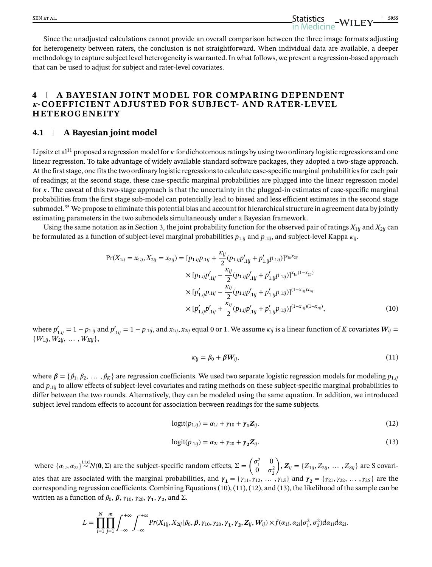Since the unadjusted calculations cannot provide an overall comparison between the three image formats adjusting for heterogeneity between raters, the conclusion is not straightforward. When individual data are available, a deeper methodology to capture subject level heterogeneity is warranted. In what follows, we present a regression-based approach that can be used to adjust for subject and rater-level covariates.

## **4 A BAYESIAN JOINT MODEL FOR COMPARING DEPENDENT -COEFFICIENT ADJUSTED FOR SUBJECT- AND RATER-LEVEL HETEROGENEITY**

#### **4.1 A Bayesian joint model**

Lipsitz et al<sup>11</sup> proposed a regression model for  $\kappa$  for dichotomous ratings by using two ordinary logistic regressions and one linear regression. To take advantage of widely available standard software packages, they adopted a two-stage approach. At the first stage, one fits the two ordinary logistic regressions to calculate case-specific marginal probabilities for each pair of readings; at the second stage, these case-specific marginal probabilities are plugged into the linear regression model for  $\kappa$ . The caveat of this two-stage approach is that the uncertainty in the plugged-in estimates of case-specific marginal probabilities from the first stage sub-model can potentially lead to biased and less efficient estimates in the second stage submodel.<sup>35</sup> We propose to eliminate this potential bias and account for hierarchical structure in agreement data by jointly estimating parameters in the two submodels simultaneously under a Bayesian framework.

Using the same notation as in Section 3, the joint probability function for the observed pair of ratings  $X_{1ij}$  and  $X_{2ij}$  can be formulated as a function of subject-level marginal probabilities  $p_{1,ij}$  and  $p_{1,ij}$ , and subject-level Kappa  $\kappa_{ij}$ .

$$
Pr(X_{1ij} = x_{1ij}, X_{2ij} = x_{2ij}) = [p_{1.ij}p_{.1ij} + \frac{\kappa_{ij}}{2}(p_{1.ij}p'_{.1ij} + p'_{1.ij}p_{.1ij})]^{x_{1ij}x_{2ij}}
$$
  
\n
$$
\times [p_{1.ij}p'_{.1ij} - \frac{\kappa_{ij}}{2}(p_{1.ij}p'_{.1ij} + p'_{1.ij}p_{.1ij})]^{x_{1ij}(1-x_{2ij})}
$$
  
\n
$$
\times [p'_{1.ij}p_{.1ij} - \frac{\kappa_{ij}}{2}(p_{1.ij}p'_{.1ij} + p'_{1.ij}p_{.1ij})]^{(1-x_{1ij})x_{2ij}}
$$
  
\n
$$
\times [p'_{1.ij}p'_{.1ij} + \frac{\kappa_{ij}}{2}(p_{1.ij}p'_{.1ij} + p'_{1.ij}p_{.1ij})]^{(1-x_{1ij})(1-x_{2ij})},
$$
\n(10)

where  $p'_{1,ij} = 1 - p_{1,ij}$  and  $p'_{.1ij} = 1 - p_{.1ij}$ , and  $x_{1ij},x_{2ij}$  equal 0 or 1. We assume  $\kappa_{ij}$  is a linear function of  $K$  covariates  $\bm{W}_{ij} =$  $\{W_{1ij}, W_{2ij}, \ldots, W_{Kij}\},\$ 

$$
\kappa_{ij} = \beta_0 + \beta \boldsymbol{W}_{ij},\tag{11}
$$

where  $\beta = \{\beta_1, \beta_2, \dots, \beta_K\}$  are regression coefficients. We used two separate logistic regression models for modeling  $p_{1,ij}$ and  $p_{\perp ii}$  to allow effects of subject-level covariates and rating methods on these subject-specific marginal probabilities to differ between the two rounds. Alternatively, they can be modeled using the same equation. In addition, we introduced subject level random effects to account for association between readings for the same subjects.

$$
logit(p_{1,ij}) = \alpha_{1i} + \gamma_{10} + \gamma_1 Z_{ij}.
$$
 (12)

$$
logit(p_{.1ij}) = \alpha_{2i} + \gamma_{20} + \gamma_2 \mathbf{Z}_{ij}.
$$
\n(13)

where  $\{\alpha_{1i}, \alpha_{2i}\}\stackrel{\text{i.i.d}}{\sim} N(\mathbf{0}, \Sigma)$  are the subject-specific random effects,  $\Sigma = \begin{pmatrix} \sigma_1^2 & 0 \\ 0 & \sigma_1^2 \end{pmatrix}$  $\begin{matrix} 0 & \sigma_2^2 \end{matrix}$  $\lambda$ ,  $Z_{ij} = \{Z_{1ij}, Z_{2ij}, \dots, Z_{Sij}\}\$ are S covariates that are associated with the marginal probabilities, and  $\gamma_1 = {\gamma_{11}, \gamma_{12}, \dots, \gamma_{1S}}$  and  $\gamma_2 = {\gamma_{21}, \gamma_{22}, \dots, \gamma_{2S}}$  are the corresponding regression coefficients. Combining Equations (10), (11), (12), and (13), the likelihood of the sample can be

written as a function of  $\beta_0$ ,  $\beta$ ,  $\gamma_{10}$ ,  $\gamma_{20}$ ,  $\gamma_1$ ,  $\gamma_2$ , and Σ.

$$
L=\prod_{i=1}^N\prod_{j=1}^m\int_{-\infty}^{+\infty}\int_{-\infty}^{+\infty}Pr(X_{1ij},X_{2ij}|\beta_0,\beta,\gamma_{10},\gamma_{20},\gamma_1,\gamma_2,\mathbf{Z}_{ij},\mathbf{W}_{ij})\times f(\alpha_{1i},\alpha_{2i}|\sigma_1^2,\sigma_2^2)d\alpha_{1i}d\alpha_{2i}.
$$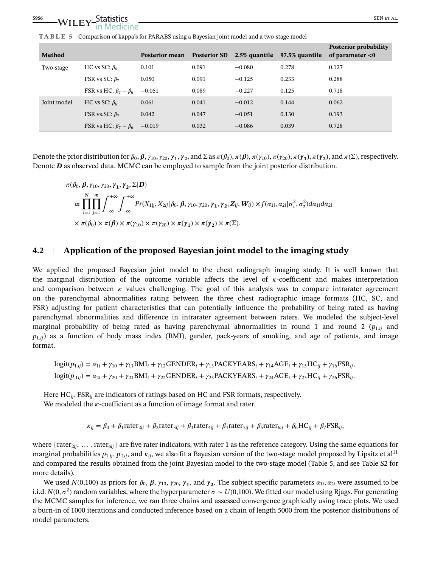**TABLE 5** Comparison of kappa's for PARABS using a Bayesian joint model and a two-stage model

| <b>Method</b> |                                         | <b>Posterior mean</b> | <b>Posterior SD</b> | 2.5% quantile | 97.5% quantile | Posterior probability<br>of parameter $<$ 0 |
|---------------|-----------------------------------------|-----------------------|---------------------|---------------|----------------|---------------------------------------------|
| Two-stage     | HC vs SC: $\beta_6$                     | 0.101                 | 0.091               | $-0.080$      | 0.278          | 0.127                                       |
|               | FSR vs SC: $\beta_7$                    | 0.050                 | 0.091               | $-0.125$      | 0.233          | 0.288                                       |
|               | FSR vs HC: $\beta_7 - \beta_6$          | $-0.051$              | 0.089               | $-0.227$      | 0.125          | 0.718                                       |
| Joint model   | HC vs SC: $\beta_6$                     | 0.061                 | 0.041               | $-0.012$      | 0.144          | 0.062                                       |
|               | FSR vs.SC: $\beta_7$                    | 0.042                 | 0.047               | $-0.051$      | 0.130          | 0.193                                       |
|               | FSR vs HC: $\beta_7 - \beta_6 = -0.019$ |                       | 0.032               | $-0.086$      | 0.039          | 0.728                                       |

Denote the prior distribution for  $\beta_0$ ,  $\beta$ ,  $\gamma_{10}$ ,  $\gamma_{20}$ ,  $\gamma_1$ ,  $\gamma_2$ , and  $\Sigma$  as  $\pi(\beta_0)$ ,  $\pi(\beta)$ ,  $\pi(\gamma_{10})$ ,  $\pi(\gamma_{20})$ ,  $\pi(\gamma_1)$ ,  $\pi(\gamma_2)$ , and  $\pi(\Sigma)$ , respectively. Denote *D* as observed data. MCMC can be employed to sample from the joint posterior distribution.

$$
\pi(\beta_0, \beta, \gamma_{10}, \gamma_{20}, \gamma_1, \gamma_2, \Sigma | D)
$$
\n
$$
\propto \prod_{i=1}^N \prod_{j=1}^m \int_{-\infty}^{+\infty} \int_{-\infty}^{+\infty} Pr(X_{1ij}, X_{2ij} | \beta_0, \beta, \gamma_{10}, \gamma_{20}, \gamma_1, \gamma_2, Z_{ij}, W_{ij}) \times f(\alpha_{1i}, \alpha_{2i} | \sigma_1^2, \sigma_2^2) d\alpha_{1i} d\alpha_{2i}
$$
\n
$$
\times \pi(\beta_0) \times \pi(\beta) \times \pi(\gamma_{10}) \times \pi(\gamma_{20}) \times \pi(\gamma_1) \times \pi(\gamma_2) \times \pi(\Sigma).
$$

#### **4.2 Application of the proposed Bayesian joint model to the imaging study**

We applied the proposed Bayesian joint model to the chest radiograph imaging study. It is well known that the marginal distribution of the outcome variable affects the level of  $\kappa$ -coefficient and makes interpretation and comparison between  $\kappa$  values challenging. The goal of this analysis was to compare intrarater agreement on the parenchymal abnormalities rating between the three chest radiographic image formats (HC, SC, and FSR) adjusting for patient characteristics that can potentially influence the probability of being rated as having parenchymal abnormalities and difference in intrarater agreement between raters. We modeled the subject-level marginal probability of being rated as having parenchymal abnormalities in round 1 and round 2 ( $p_{1,ij}$  and  $p_{1,i}$ ) as a function of body mass index (BMI), gender, pack-years of smoking, and age of patients, and image format.

$$
logit(p_{1:ij}) = \alpha_{1i} + \gamma_{10} + \gamma_{11} BMI_i + \gamma_{12} GENDER_i + \gamma_{13} PACKYEARS_i + \gamma_{14} AGE_i + \gamma_{15} HC_{ij} + \gamma_{16} FSR_{ij},
$$
  

$$
logit(p_{.1ij}) = \alpha_{2i} + \gamma_{20} + \gamma_{21} BMI_i + \gamma_{22} GENDER_i + \gamma_{23} PACKYEARS_i + \gamma_{24} AGE_i + \gamma_{25} HC_{ij} + \gamma_{26} FSR_{ij}.
$$

Here HC*ij,* FSR*ij* are indicators of ratings based on HC and FSR formats, respectively. We modeled the  $\kappa$ -coefficient as a function of image format and rater.

 $\kappa_{ij} = \beta_0 + \beta_1$ rater<sub>2*ij*</sub> +  $\beta_2$ rater<sub>3*ij*</sub> +  $\beta_3$ rater<sub>4*ij*</sub> +  $\beta_4$ rater<sub>5*ij*</sub> +  $\beta_5$ rater<sub>6*ij*</sub> +  $\beta_6$ HC<sub>*ij*</sub> +  $\beta_7$ FSR<sub>*ij*</sub></sub>

where { $rate_{2ij}$ , ...,  $rate_{6ij}$ } are five rater indicators, with rater 1 as the reference category. Using the same equations for marginal probabilities  $p_{1,ij}$ ,  $p_{1ij}$ , and  $\kappa_{ij}$ , we also fit a Bayesian version of the two-stage model proposed by Lipsitz et al<sup>11</sup> and compared the results obtained from the joint Bayesian model to the two-stage model (Table 5, and see Table S2 for more details).

We used  $N(0,100)$  as priors for  $\beta_0$ ,  $\beta$ ,  $\gamma_{10}$ ,  $\gamma_{20}$ ,  $\gamma_1$ , and  $\gamma_2$ . The subject specific parameters  $\alpha_{1i}$ ,  $\alpha_{2i}$  were assumed to be i.i.d. *N*(0, $\sigma^2$ ) random variables, where the hyperparameter  $\sigma \sim U(0,100)$ . We fitted our model using Rjags. For generating the MCMC samples for inference, we ran three chains and assessed convergence graphically using trace plots. We used a burn-in of 1000 iterations and conducted inference based on a chain of length 5000 from the posterior distributions of model parameters.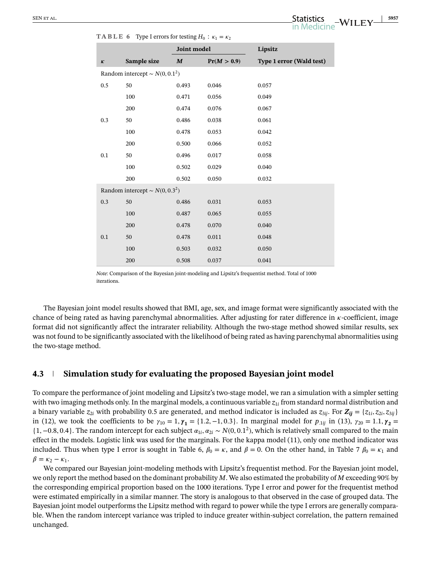|                    |                                     | Joint model      |             | Lipsitz                  |
|--------------------|-------------------------------------|------------------|-------------|--------------------------|
| $\pmb{\mathit{K}}$ | Sample size                         | $\boldsymbol{M}$ | Pr(M > 0.9) | Type 1 error (Wald test) |
|                    | Random intercept $\sim N(0, 0.1^2)$ |                  |             |                          |
| 0.5                | 50                                  | 0.493            | 0.046       | 0.057                    |
|                    | 100                                 | 0.471            | 0.056       | 0.049                    |
|                    | 200                                 | 0.474            | 0.076       | 0.067                    |
| 0.3                | 50                                  | 0.486            | 0.038       | 0.061                    |
|                    | 100                                 | 0.478            | 0.053       | 0.042                    |
|                    | 200                                 | 0.500            | 0.066       | 0.052                    |
| 0.1                | 50                                  | 0.496            | $0.017\,$   | 0.058                    |
|                    | 100                                 | 0.502            | 0.029       | 0.040                    |
|                    | 200                                 | 0.502            | 0.050       | 0.032                    |
|                    | Random intercept ~ $N(0, 0.3^2)$    |                  |             |                          |
| 0.3                | 50                                  | 0.486            | 0.031       | 0.053                    |
|                    | 100                                 | 0.487            | 0.065       | 0.055                    |
|                    | 200                                 | 0.478            | 0.070       | 0.040                    |
| 0.1                | 50                                  | 0.478            | 0.011       | 0.048                    |
|                    | 100                                 | 0.503            | 0.032       | 0.050                    |
|                    | 200                                 | 0.508            | 0.037       | 0.041                    |

**TABLE 6** Type I errors for testing  $H_0$  <sup>+</sup>  $K_1 = K_2$ 

*Note*: Comparison of the Bayesian joint-modeling and Lipsitz's frequentist method. Total of 1000 iterations.

The Bayesian joint model results showed that BMI, age, sex, and image format were significantly associated with the chance of being rated as having parenchymal abnormalities. After adjusting for rater difference in  $\kappa$ -coefficient, image format did not significantly affect the intrarater reliability. Although the two-stage method showed similar results, sex was not found to be significantly associated with the likelihood of being rated as having parenchymal abnormalities using the two-stage method.

## **4.3 Simulation study for evaluating the proposed Bayesian joint model**

To compare the performance of joint modeling and Lipsitz's two-stage model, we ran a simulation with a simpler setting with two imaging methods only. In the marginal models, a continuous variable  $z_{1i}$  from standard normal distribution and a binary variable  $z_{2i}$  with probability 0.5 are generated, and method indicator is included as  $z_{3ij}$ . For  $Z_{ij} = \{z_{1i}, z_{2i}, z_{3ij}\}$ in (12), we took the coefficients to be  $\gamma_{10} = 1, \gamma_1 = \{1.2, -1, 0.3\}$ . In marginal model for  $p_{.1ij}$  in (13),  $\gamma_{20} = 1.1, \gamma_2 = 1.1$  $\{1, -0.8, 0.4\}$ . The random intercept for each subject  $\alpha_{1i}, \alpha_{2i} \sim N(0, 0.1^2)$ , which is relatively small compared to the main effect in the models. Logistic link was used for the marginals. For the kappa model (11), only one method indicator was included. Thus when type I error is sought in Table 6,  $\beta_0 = \kappa$ , and  $\beta = 0$ . On the other hand, in Table 7  $\beta_0 = \kappa_1$  and  $\beta = \kappa_2 - \kappa_1.$ 

We compared our Bayesian joint-modeling methods with Lipsitz's frequentist method. For the Bayesian joint model, we only report the method based on the dominant probability *M*. We also estimated the probability of *M* exceeding 90% by the corresponding empirical proportion based on the 1000 iterations. Type I error and power for the frequentist method were estimated empirically in a similar manner. The story is analogous to that observed in the case of grouped data. The Bayesian joint model outperforms the Lipsitz method with regard to power while the type I errors are generally comparable. When the random intercept variance was tripled to induce greater within-subject correlation, the pattern remained unchanged.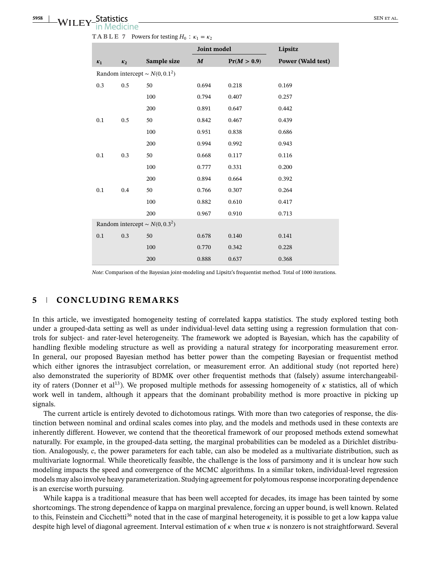|       |                |                                     | Joint model      |             | Lipsitz                  |
|-------|----------------|-------------------------------------|------------------|-------------|--------------------------|
| $K_1$ | K <sub>2</sub> | Sample size                         | $\boldsymbol{M}$ | Pr(M > 0.9) | <b>Power (Wald test)</b> |
|       |                | Random intercept $\sim N(0, 0.1^2)$ |                  |             |                          |
| 0.3   | 0.5            | 50                                  | 0.694            | 0.218       | 0.169                    |
|       |                | 100                                 | 0.794            | 0.407       | 0.257                    |
|       |                | 200                                 | 0.891            | 0.647       | 0.442                    |
| 0.1   | 0.5            | 50                                  | 0.842            | 0.467       | 0.439                    |
|       |                | 100                                 | 0.951            | 0.838       | 0.686                    |
|       |                | 200                                 | 0.994            | 0.992       | 0.943                    |
| 0.1   | 0.3            | 50                                  | 0.668            | 0.117       | 0.116                    |
|       |                | 100                                 | 0.777            | 0.331       | 0.200                    |
|       |                | 200                                 | 0.894            | 0.664       | 0.392                    |
| 0.1   | 0.4            | 50                                  | 0.766            | 0.307       | 0.264                    |
|       |                | 100                                 | 0.882            | 0.610       | 0.417                    |
|       |                | 200                                 | 0.967            | 0.910       | 0.713                    |
|       |                | Random intercept ~ $N(0, 0.3^2)$    |                  |             |                          |
| 0.1   | 0.3            | 50                                  | 0.678            | 0.140       | 0.141                    |
|       |                | 100                                 | 0.770            | 0.342       | 0.228                    |
|       |                | 200                                 | 0.888            | 0.637       | 0.368                    |

**TABLE 7** Powers for testing  $H_0$ :  $\kappa_1 = \kappa_2$ 

*Note*: Comparison of the Bayesian joint-modeling and Lipsitz's frequentist method. Total of 1000 iterations.

#### **5 CONCLUDING REMARKS**

In this article, we investigated homogeneity testing of correlated kappa statistics. The study explored testing both under a grouped-data setting as well as under individual-level data setting using a regression formulation that controls for subject- and rater-level heterogeneity. The framework we adopted is Bayesian, which has the capability of handling flexible modeling structure as well as providing a natural strategy for incorporating measurement error. In general, our proposed Bayesian method has better power than the competing Bayesian or frequentist method which either ignores the intrasubject correlation, or measurement error. An additional study (not reported here) also demonstrated the superiority of BDMK over other frequentist methods that (falsely) assume interchangeability of raters (Donner et al<sup>13</sup>). We proposed multiple methods for assessing homogeneity of  $\kappa$  statistics, all of which work well in tandem, although it appears that the dominant probability method is more proactive in picking up signals.

The current article is entirely devoted to dichotomous ratings. With more than two categories of response, the distinction between nominal and ordinal scales comes into play, and the models and methods used in these contexts are inherently different. However, we contend that the theoretical framework of our proposed methods extend somewhat naturally. For example, in the grouped-data setting, the marginal probabilities can be modeled as a Dirichlet distribution. Analogously, *c*, the power parameters for each table, can also be modeled as a multivariate distribution, such as multivariate lognormal. While theoretically feasible, the challenge is the loss of parsimony and it is unclear how such modeling impacts the speed and convergence of the MCMC algorithms. In a similar token, individual-level regression models may also involve heavy parameterization. Studying agreement for polytomous response incorporating dependence is an exercise worth pursuing.

While kappa is a traditional measure that has been well accepted for decades, its image has been tainted by some shortcomings. The strong dependence of kappa on marginal prevalence, forcing an upper bound, is well known. Related to this, Feinstein and Cicchetti<sup>36</sup> noted that in the case of marginal heterogeneity, it is possible to get a low kappa value despite high level of diagonal agreement. Interval estimation of  $\kappa$  when true  $\kappa$  is nonzero is not straightforward. Several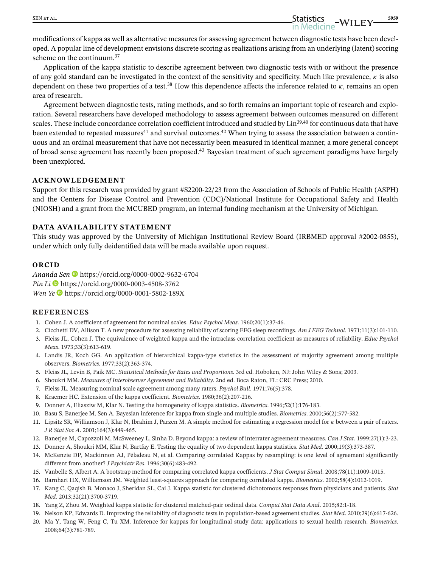modifications of kappa as well as alternative measures for assessing agreement between diagnostic tests have been developed. A popular line of development envisions discrete scoring as realizations arising from an underlying (latent) scoring scheme on the continuum.<sup>37</sup>

Application of the kappa statistic to describe agreement between two diagnostic tests with or without the presence of any gold standard can be investigated in the context of the sensitivity and specificity. Much like prevalence,  $\kappa$  is also dependent on these two properties of a test.<sup>38</sup> How this dependence affects the inference related to  $\kappa$ , remains an open area of research.

Agreement between diagnostic tests, rating methods, and so forth remains an important topic of research and exploration. Several researchers have developed methodology to assess agreement between outcomes measured on different scales. These include concordance correlation coefficient introduced and studied by Lin<sup>39,40</sup> for continuous data that have been extended to repeated measures<sup>41</sup> and survival outcomes.<sup>42</sup> When trying to assess the association between a continuous and an ordinal measurement that have not necessarily been measured in identical manner, a more general concept of broad sense agreement has recently been proposed.<sup>43</sup> Bayesian treatment of such agreement paradigms have largely been unexplored.

#### **ACKNOWLEDGEMENT**

Support for this research was provided by grant #S2200-22/23 from the Association of Schools of Public Health (ASPH) and the Centers for Disease Control and Prevention (CDC)/National Institute for Occupational Safety and Health (NIOSH) and a grant from the MCUBED program, an internal funding mechanism at the University of Michigan.

#### **DATA AVAILABILITY STATEMENT**

This study was approved by the University of Michigan Institutional Review Board (IRBMED approval #2002-0855), under which only fully deidentified data will be made available upon request.

#### **ORCID**

*Ananda Sen* <https://orcid.org/0000-0002-9632-6704> *Pin Li* <https://orcid.org/0000-0003-4508-3762> *Wen Ye* <https://orcid.org/0000-0001-5802-189X>

#### **REFERENCES**

- 1. Cohen J. A coefficient of agreement for nominal scales. *Educ Psychol Meas*. 1960;20(1):37-46.
- 2. Cicchetti DV, Allison T. A new procedure for assessing reliability of scoring EEG sleep recordings. *Am J EEG Technol*. 1971;11(3):101-110.
- 3. Fleiss JL, Cohen J. The equivalence of weighted kappa and the intraclass correlation coefficient as measures of reliability. *Educ Psychol Meas*. 1973;33(3):613-619.
- 4. Landis JR, Koch GG. An application of hierarchical kappa-type statistics in the assessment of majority agreement among multiple observers. *Biometrics*. 1977;33(2):363-374.
- 5. Fleiss JL, Levin B, Paik MC. *Statistical Methods for Rates and Proportions*. 3rd ed. Hoboken, NJ: John Wiley & Sons; 2003.
- 6. Shoukri MM. *Measures of Interobserver Agreement and Reliability*. 2nd ed. Boca Raton, FL: CRC Press; 2010.
- 7. Fleiss JL. Measuring nominal scale agreement among many raters. *Psychol Bull*. 1971;76(5):378.
- 8. Kraemer HC. Extension of the kappa coefficient. *Biometrics*. 1980;36(2):207-216.
- 9. Donner A, Eliasziw M, Klar N. Testing the homogeneity of kappa statistics. *Biometrics*. 1996;52(1):176-183.
- 10. Basu S, Banerjee M, Sen A. Bayesian inference for kappa from single and multiple studies. *Biometrics*. 2000;56(2):577-582.
- 11. Lipsitz SR, Williamson J, Klar N, Ibrahim J, Parzen M. A simple method for estimating a regression model for  $\kappa$  between a pair of raters. *J R Stat Soc A*. 2001;164(3):449-465.
- 12. Banerjee M, Capozzoli M, McSweeney L, Sinha D. Beyond kappa: a review of interrater agreement measures. *Can J Stat*. 1999;27(1):3-23.
- 13. Donner A, Shoukri MM, Klar N, Bartfay E. Testing the equality of two dependent kappa statistics. *Stat Med*. 2000;19(3):373-387.
- 14. McKenzie DP, Mackinnon AJ, Péladeau N, et al. Comparing correlated Kappas by resampling: is one level of agreement significantly different from another? *J Psychiatr Res*. 1996;30(6):483-492.
- 15. Vanbelle S, Albert A. A bootstrap method for comparing correlated kappa coefficients. *J Stat Comput Simul*. 2008;78(11):1009-1015.
- 16. Barnhart HX, Williamson JM. Weighted least-squares approach for comparing correlated kappa. *Biometrics*. 2002;58(4):1012-1019.
- 17. Kang C, Qaqish B, Monaco J, Sheridan SL, Cai J. Kappa statistic for clustered dichotomous responses from physicians and patients. *Stat Med*. 2013;32(21):3700-3719.
- 18. Yang Z, Zhou M. Weighted kappa statistic for clustered matched-pair ordinal data. *Comput Stat Data Anal*. 2015;82:1-18.
- 19. Nelson KP, Edwards D. Improving the reliability of diagnostic tests in population-based agreement studies. *Stat Med*. 2010;29(6):617-626.
- 20. Ma Y, Tang W, Feng C, Tu XM. Inference for kappas for longitudinal study data: applications to sexual health research. *Biometrics*. 2008;64(3):781-789.